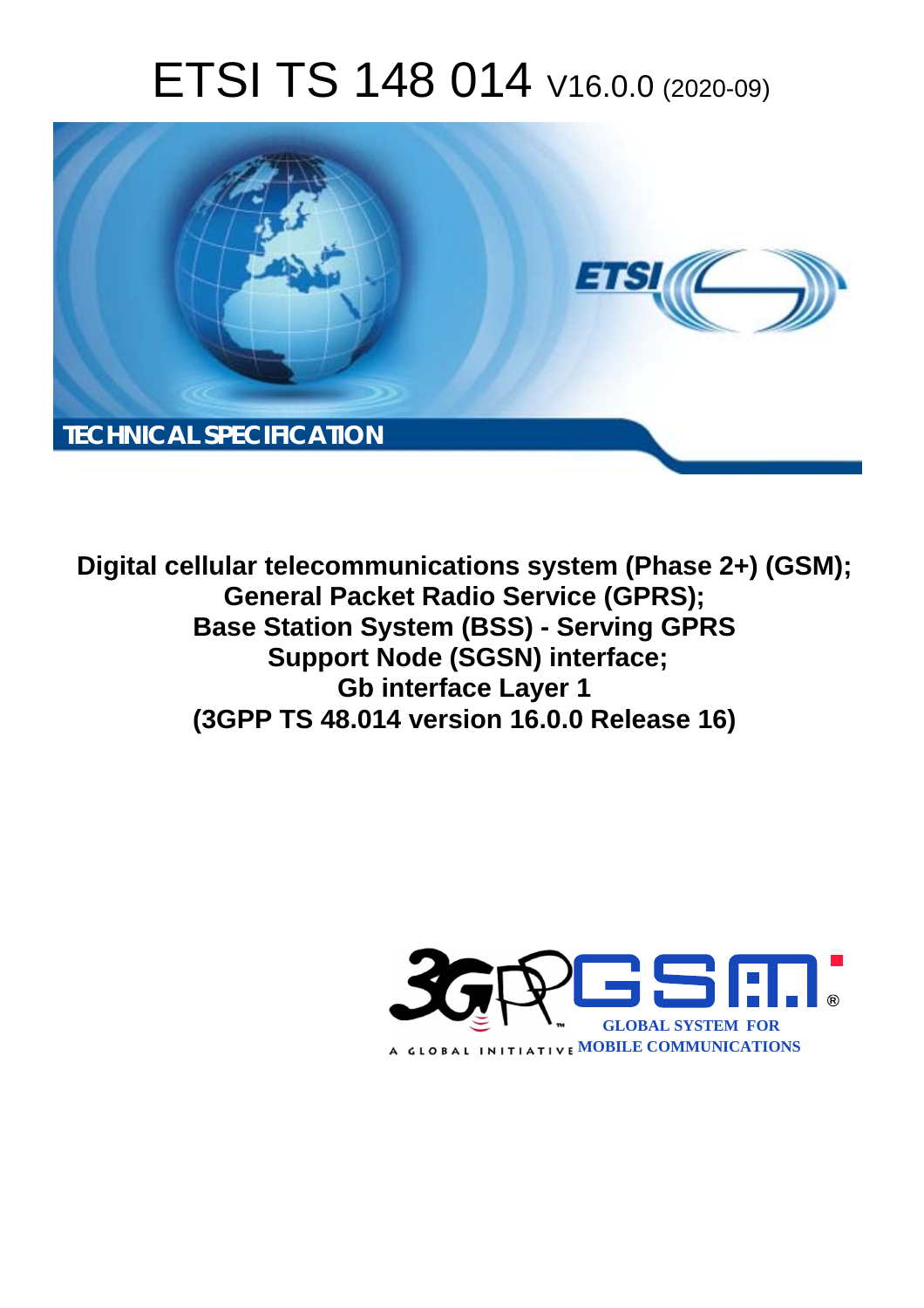# ETSI TS 148 014 V16.0.0 (2020-09)



**Digital cellular telecommunications system (Phase 2+) (GSM); General Packet Radio Service (GPRS); Base Station System (BSS) - Serving GPRS Support Node (SGSN) interface; Gb interface Layer 1 (3GPP TS 48.014 version 16.0.0 Release 16)** 

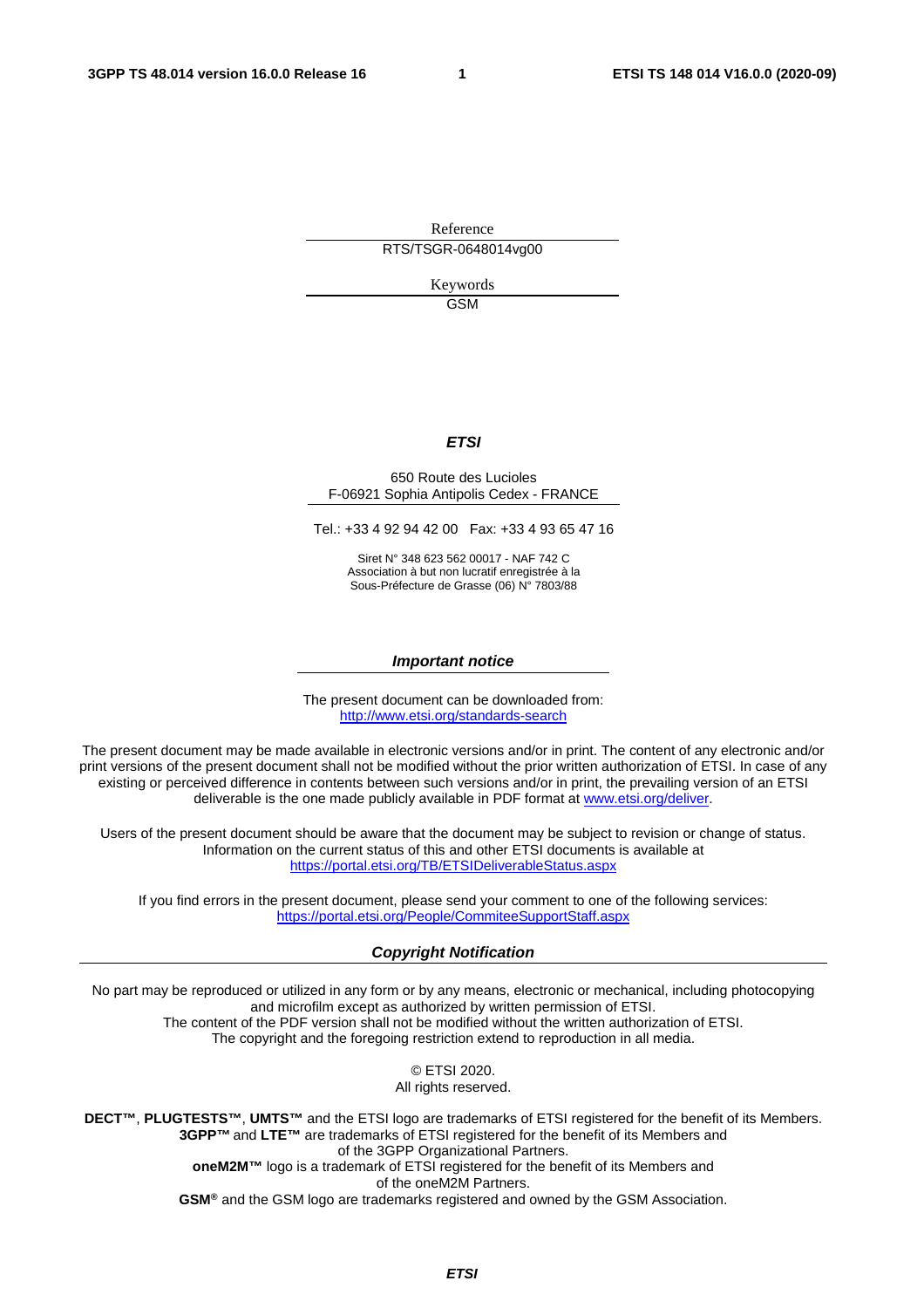Reference RTS/TSGR-0648014vg00

> Keywords GSM

#### *ETSI*

#### 650 Route des Lucioles F-06921 Sophia Antipolis Cedex - FRANCE

Tel.: +33 4 92 94 42 00 Fax: +33 4 93 65 47 16

Siret N° 348 623 562 00017 - NAF 742 C Association à but non lucratif enregistrée à la Sous-Préfecture de Grasse (06) N° 7803/88

#### *Important notice*

The present document can be downloaded from: <http://www.etsi.org/standards-search>

The present document may be made available in electronic versions and/or in print. The content of any electronic and/or print versions of the present document shall not be modified without the prior written authorization of ETSI. In case of any existing or perceived difference in contents between such versions and/or in print, the prevailing version of an ETSI deliverable is the one made publicly available in PDF format at [www.etsi.org/deliver](http://www.etsi.org/deliver).

Users of the present document should be aware that the document may be subject to revision or change of status. Information on the current status of this and other ETSI documents is available at <https://portal.etsi.org/TB/ETSIDeliverableStatus.aspx>

If you find errors in the present document, please send your comment to one of the following services: <https://portal.etsi.org/People/CommiteeSupportStaff.aspx>

#### *Copyright Notification*

No part may be reproduced or utilized in any form or by any means, electronic or mechanical, including photocopying and microfilm except as authorized by written permission of ETSI. The content of the PDF version shall not be modified without the written authorization of ETSI. The copyright and the foregoing restriction extend to reproduction in all media.

> © ETSI 2020. All rights reserved.

**DECT™**, **PLUGTESTS™**, **UMTS™** and the ETSI logo are trademarks of ETSI registered for the benefit of its Members. **3GPP™** and **LTE™** are trademarks of ETSI registered for the benefit of its Members and of the 3GPP Organizational Partners. **oneM2M™** logo is a trademark of ETSI registered for the benefit of its Members and of the oneM2M Partners. **GSM®** and the GSM logo are trademarks registered and owned by the GSM Association.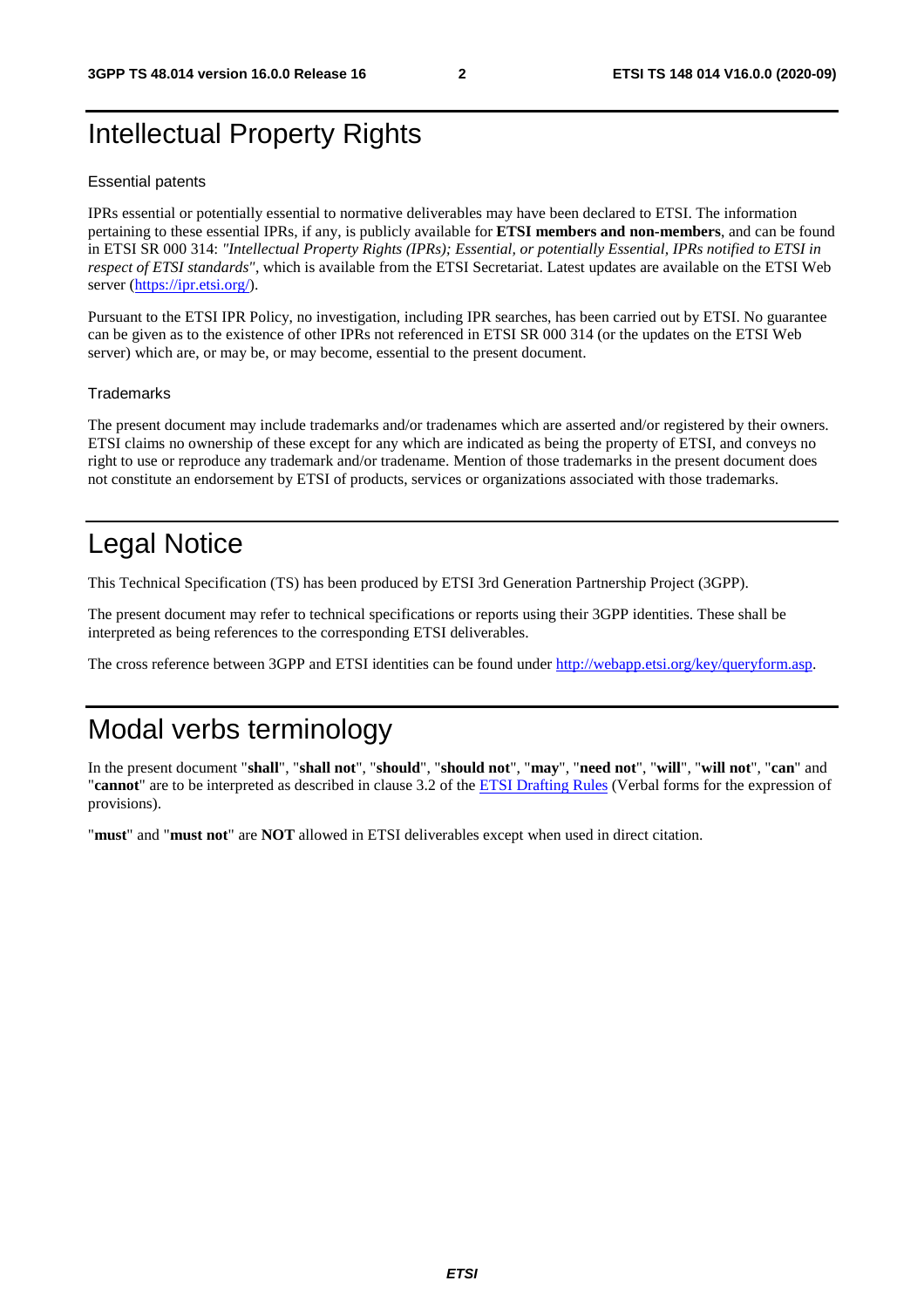### Intellectual Property Rights

#### Essential patents

IPRs essential or potentially essential to normative deliverables may have been declared to ETSI. The information pertaining to these essential IPRs, if any, is publicly available for **ETSI members and non-members**, and can be found in ETSI SR 000 314: *"Intellectual Property Rights (IPRs); Essential, or potentially Essential, IPRs notified to ETSI in respect of ETSI standards"*, which is available from the ETSI Secretariat. Latest updates are available on the ETSI Web server [\(https://ipr.etsi.org/](https://ipr.etsi.org/)).

Pursuant to the ETSI IPR Policy, no investigation, including IPR searches, has been carried out by ETSI. No guarantee can be given as to the existence of other IPRs not referenced in ETSI SR 000 314 (or the updates on the ETSI Web server) which are, or may be, or may become, essential to the present document.

#### **Trademarks**

The present document may include trademarks and/or tradenames which are asserted and/or registered by their owners. ETSI claims no ownership of these except for any which are indicated as being the property of ETSI, and conveys no right to use or reproduce any trademark and/or tradename. Mention of those trademarks in the present document does not constitute an endorsement by ETSI of products, services or organizations associated with those trademarks.

### Legal Notice

This Technical Specification (TS) has been produced by ETSI 3rd Generation Partnership Project (3GPP).

The present document may refer to technical specifications or reports using their 3GPP identities. These shall be interpreted as being references to the corresponding ETSI deliverables.

The cross reference between 3GPP and ETSI identities can be found under<http://webapp.etsi.org/key/queryform.asp>.

### Modal verbs terminology

In the present document "**shall**", "**shall not**", "**should**", "**should not**", "**may**", "**need not**", "**will**", "**will not**", "**can**" and "**cannot**" are to be interpreted as described in clause 3.2 of the [ETSI Drafting Rules](https://portal.etsi.org/Services/editHelp!/Howtostart/ETSIDraftingRules.aspx) (Verbal forms for the expression of provisions).

"**must**" and "**must not**" are **NOT** allowed in ETSI deliverables except when used in direct citation.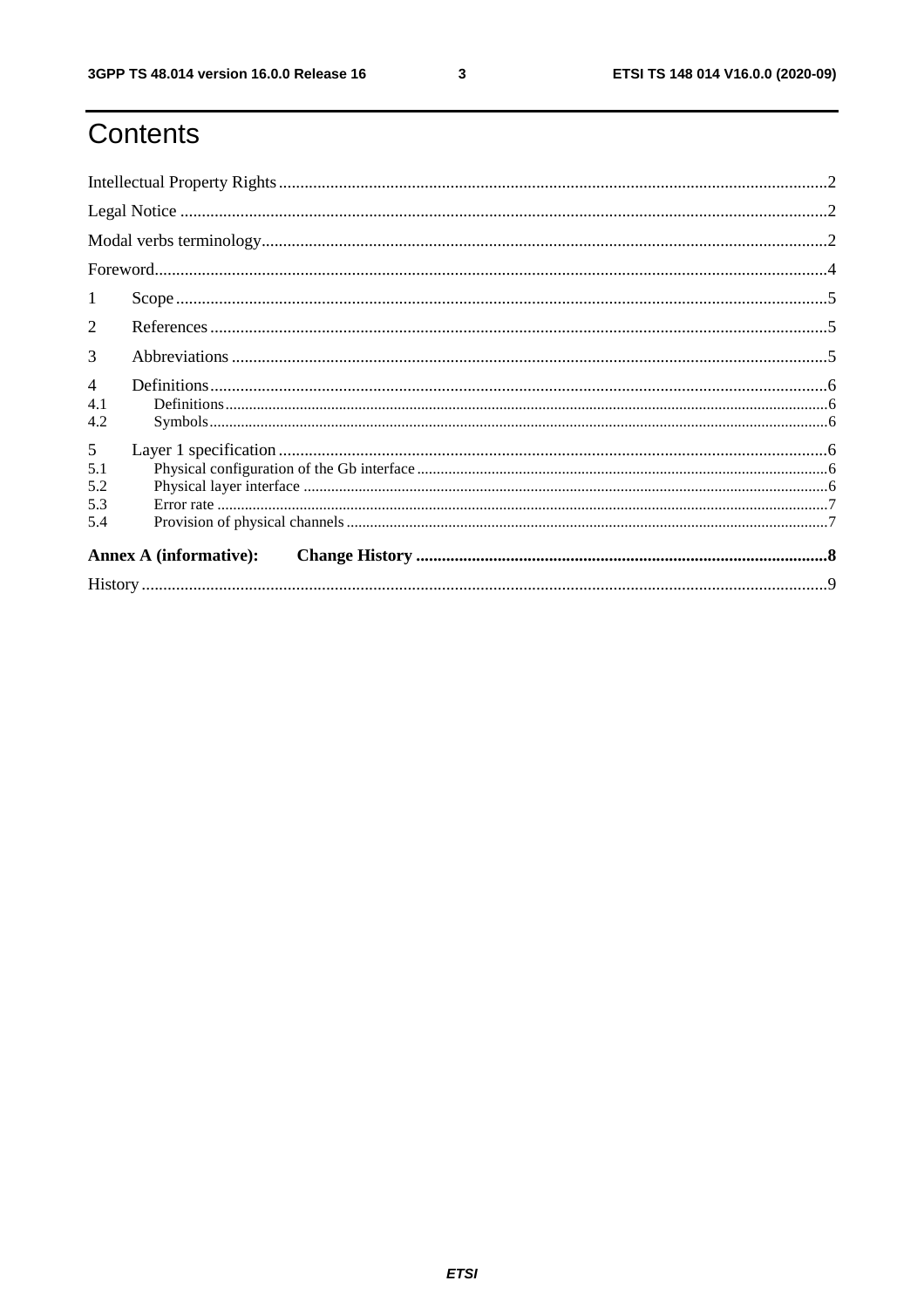$\mathbf{3}$ 

# Contents

| $\mathbf{1}$                  |  |  |  |  |  |  |
|-------------------------------|--|--|--|--|--|--|
| $\mathcal{D}_{\mathcal{L}}$   |  |  |  |  |  |  |
| 3                             |  |  |  |  |  |  |
| $\overline{4}$<br>4.1<br>4.2  |  |  |  |  |  |  |
| 5<br>5.1<br>5.2<br>5.3<br>5.4 |  |  |  |  |  |  |
| <b>Annex A (informative):</b> |  |  |  |  |  |  |
|                               |  |  |  |  |  |  |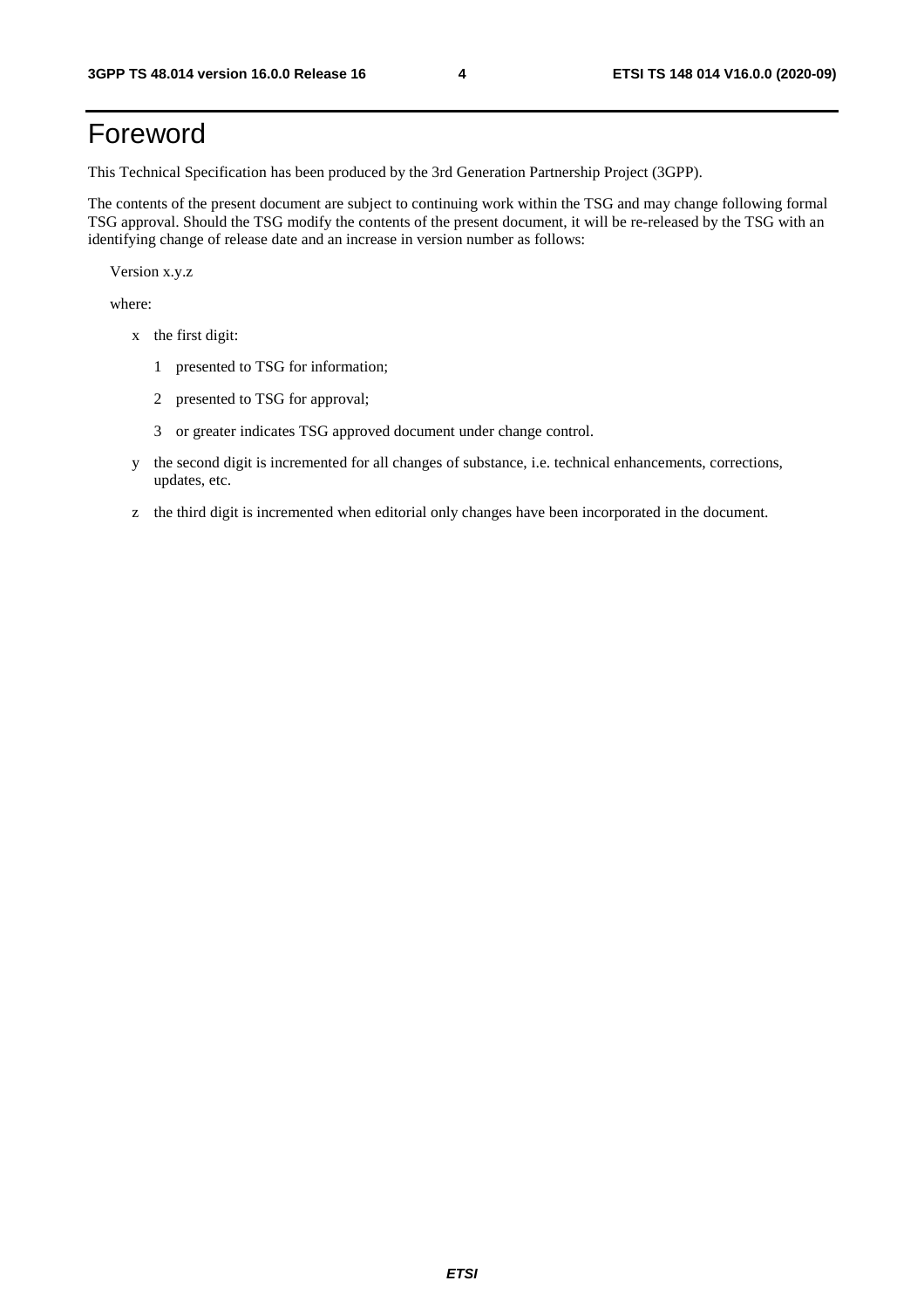## Foreword

This Technical Specification has been produced by the 3rd Generation Partnership Project (3GPP).

The contents of the present document are subject to continuing work within the TSG and may change following formal TSG approval. Should the TSG modify the contents of the present document, it will be re-released by the TSG with an identifying change of release date and an increase in version number as follows:

Version x.y.z

where:

- x the first digit:
	- 1 presented to TSG for information;
	- 2 presented to TSG for approval;
	- 3 or greater indicates TSG approved document under change control.
- y the second digit is incremented for all changes of substance, i.e. technical enhancements, corrections, updates, etc.
- z the third digit is incremented when editorial only changes have been incorporated in the document.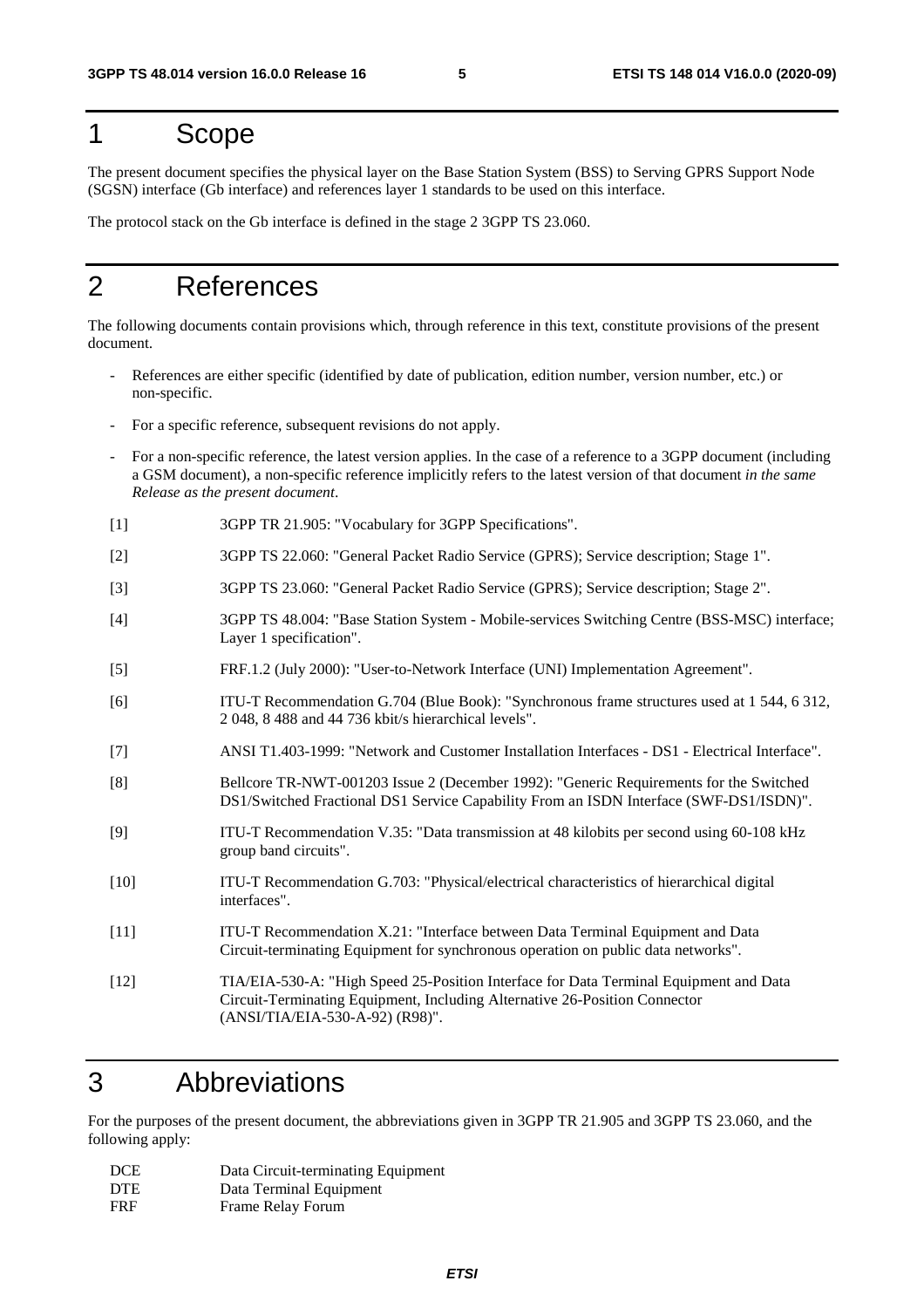#### 1 Scope

The present document specifies the physical layer on the Base Station System (BSS) to Serving GPRS Support Node (SGSN) interface (Gb interface) and references layer 1 standards to be used on this interface.

The protocol stack on the Gb interface is defined in the stage 2 3GPP TS 23.060.

#### 2 References

The following documents contain provisions which, through reference in this text, constitute provisions of the present document.

- References are either specific (identified by date of publication, edition number, version number, etc.) or non-specific.
- For a specific reference, subsequent revisions do not apply.
- For a non-specific reference, the latest version applies. In the case of a reference to a 3GPP document (including a GSM document), a non-specific reference implicitly refers to the latest version of that document *in the same Release as the present document*.
- [1] 3GPP TR 21.905: "Vocabulary for 3GPP Specifications".
- [2] 3GPP TS 22.060: "General Packet Radio Service (GPRS); Service description; Stage 1".
- [3] 3GPP TS 23.060: "General Packet Radio Service (GPRS); Service description; Stage 2".
- [4] 3GPP TS 48.004: "Base Station System Mobile-services Switching Centre (BSS-MSC) interface; Layer 1 specification".
- [5] FRF.1.2 (July 2000): "User-to-Network Interface (UNI) Implementation Agreement".
- [6] ITU-T Recommendation G.704 (Blue Book): "Synchronous frame structures used at 1 544, 6 312, 2 048, 8 488 and 44 736 kbit/s hierarchical levels".
- [7] ANSI T1.403-1999: "Network and Customer Installation Interfaces DS1 Electrical Interface".
- [8] Bellcore TR-NWT-001203 Issue 2 (December 1992): "Generic Requirements for the Switched DS1/Switched Fractional DS1 Service Capability From an ISDN Interface (SWF-DS1/ISDN)".
- [9] ITU-T Recommendation V.35: "Data transmission at 48 kilobits per second using 60-108 kHz group band circuits".
- [10] ITU-T Recommendation G.703: "Physical/electrical characteristics of hierarchical digital interfaces".
- [11] ITU-T Recommendation X.21: "Interface between Data Terminal Equipment and Data Circuit-terminating Equipment for synchronous operation on public data networks".
- [12] TIA/EIA-530-A: "High Speed 25-Position Interface for Data Terminal Equipment and Data Circuit-Terminating Equipment, Including Alternative 26-Position Connector (ANSI/TIA/EIA-530-A-92) (R98)".

#### 3 Abbreviations

For the purposes of the present document, the abbreviations given in 3GPP TR 21.905 and 3GPP TS 23.060, and the following apply:

| <b>DCE</b> | Data Circuit-terminating Equipment |
|------------|------------------------------------|
| <b>DTE</b> | Data Terminal Equipment            |
| <b>FRF</b> | Frame Relay Forum                  |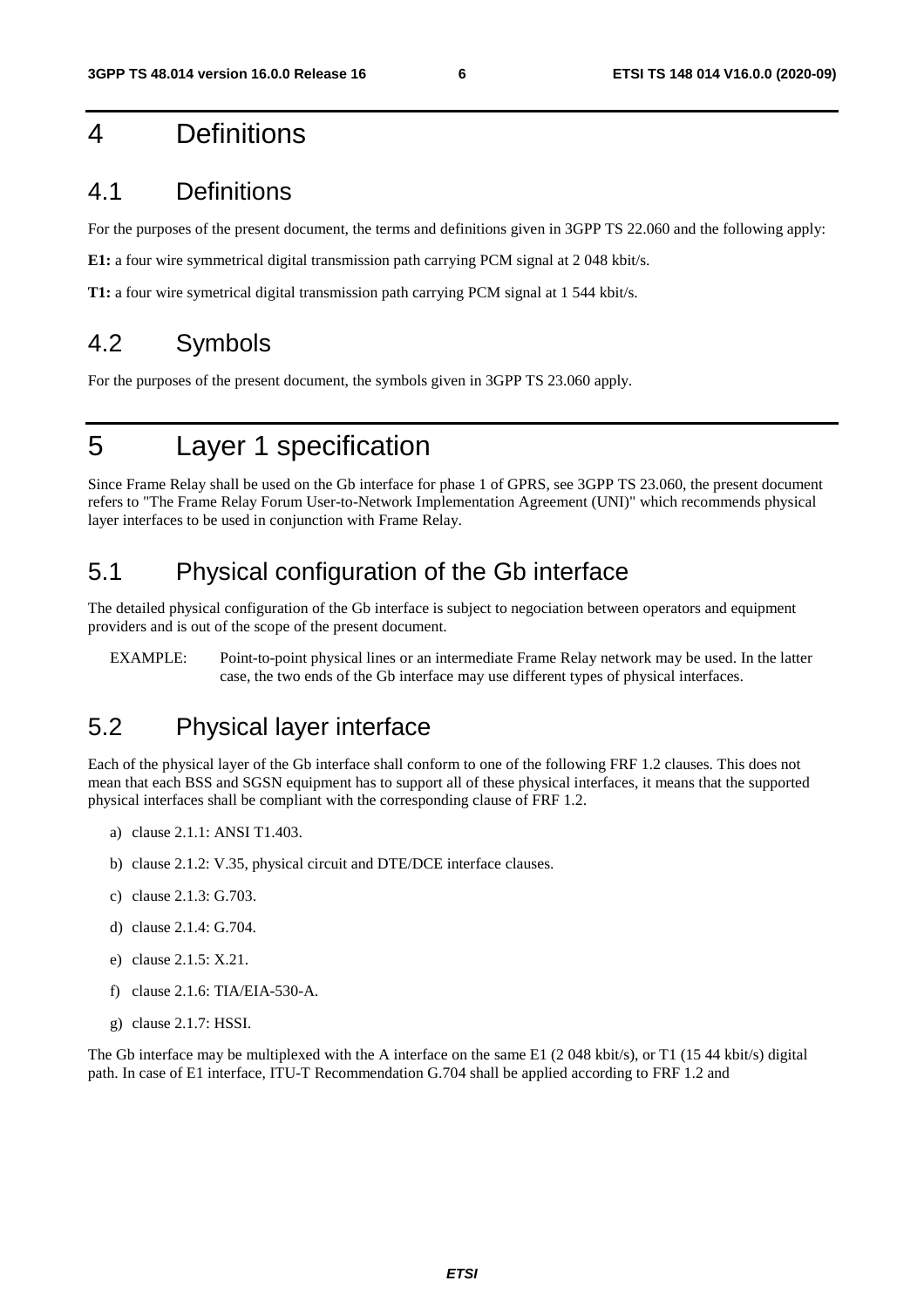### 4 Definitions

#### 4.1 Definitions

For the purposes of the present document, the terms and definitions given in 3GPP TS 22.060 and the following apply:

**E1:** a four wire symmetrical digital transmission path carrying PCM signal at 2 048 kbit/s.

**T1:** a four wire symetrical digital transmission path carrying PCM signal at 1 544 kbit/s.

#### 4.2 Symbols

For the purposes of the present document, the symbols given in 3GPP TS 23.060 apply.

### 5 Layer 1 specification

Since Frame Relay shall be used on the Gb interface for phase 1 of GPRS, see 3GPP TS 23.060, the present document refers to "The Frame Relay Forum User-to-Network Implementation Agreement (UNI)" which recommends physical layer interfaces to be used in conjunction with Frame Relay.

#### 5.1 Physical configuration of the Gb interface

The detailed physical configuration of the Gb interface is subject to negociation between operators and equipment providers and is out of the scope of the present document.

EXAMPLE: Point-to-point physical lines or an intermediate Frame Relay network may be used. In the latter case, the two ends of the Gb interface may use different types of physical interfaces.

#### 5.2 Physical layer interface

Each of the physical layer of the Gb interface shall conform to one of the following FRF 1.2 clauses. This does not mean that each BSS and SGSN equipment has to support all of these physical interfaces, it means that the supported physical interfaces shall be compliant with the corresponding clause of FRF 1.2.

- a) clause 2.1.1: ANSI T1.403.
- b) clause 2.1.2: V.35, physical circuit and DTE/DCE interface clauses.
- c) clause 2.1.3: G.703.
- d) clause 2.1.4: G.704.
- e) clause 2.1.5: X.21.
- f) clause 2.1.6: TIA/EIA-530-A.
- g) clause 2.1.7: HSSI.

The Gb interface may be multiplexed with the A interface on the same E1 (2048 kbit/s), or T1 (1544 kbit/s) digital path. In case of E1 interface, ITU-T Recommendation G.704 shall be applied according to FRF 1.2 and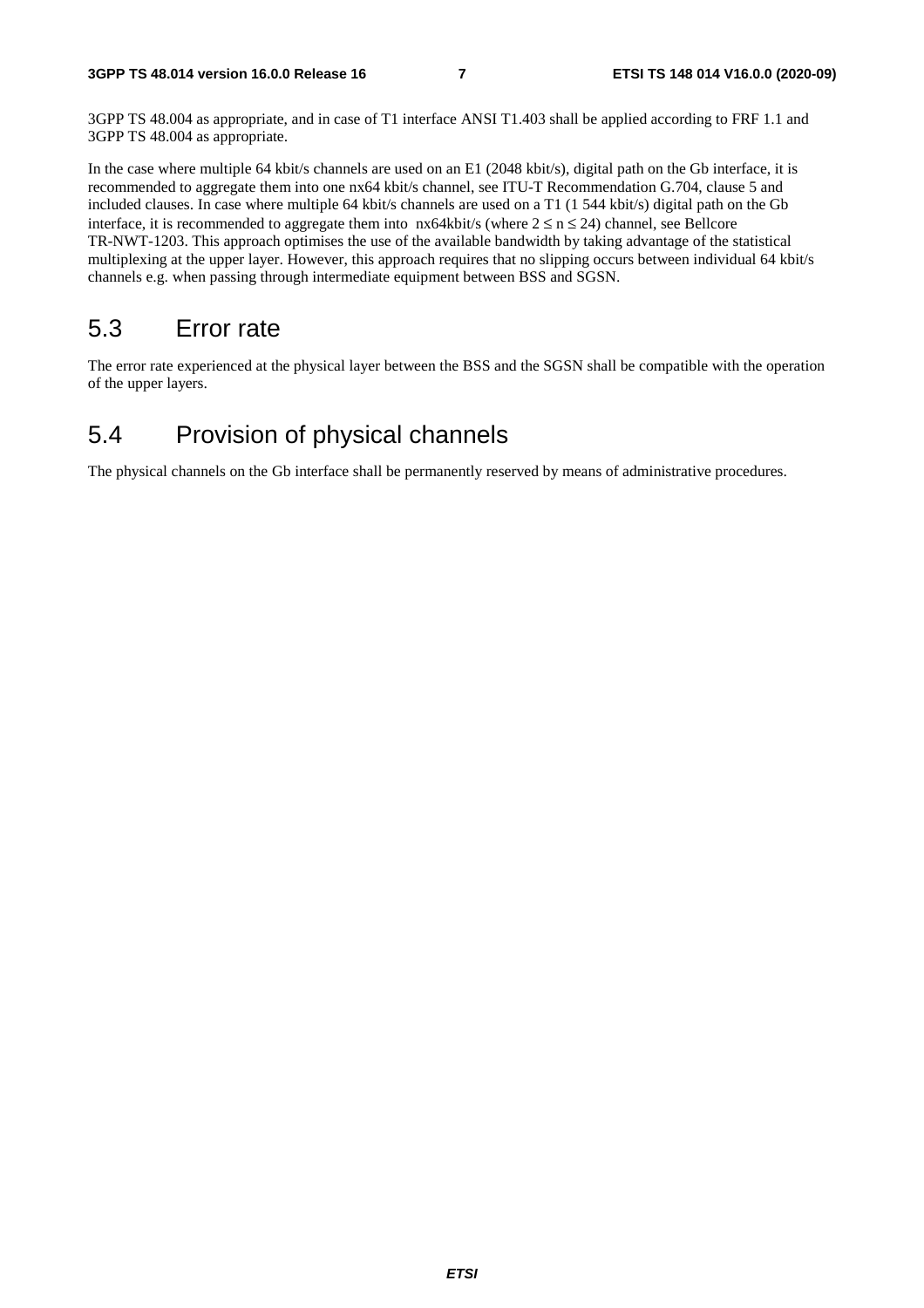3GPP TS 48.004 as appropriate, and in case of T1 interface ANSI T1.403 shall be applied according to FRF 1.1 and 3GPP TS 48.004 as appropriate.

In the case where multiple 64 kbit/s channels are used on an E1 (2048 kbit/s), digital path on the Gb interface, it is recommended to aggregate them into one nx64 kbit/s channel, see ITU-T Recommendation G.704, clause 5 and included clauses. In case where multiple 64 kbit/s channels are used on a T1 (1 544 kbit/s) digital path on the Gb interface, it is recommended to aggregate them into  $nx64kbit/s$  (where  $2 \le n \le 24$ ) channel, see Bellcore TR-NWT-1203. This approach optimises the use of the available bandwidth by taking advantage of the statistical multiplexing at the upper layer. However, this approach requires that no slipping occurs between individual 64 kbit/s channels e.g. when passing through intermediate equipment between BSS and SGSN.

#### 5.3 Error rate

The error rate experienced at the physical layer between the BSS and the SGSN shall be compatible with the operation of the upper layers.

#### 5.4 Provision of physical channels

The physical channels on the Gb interface shall be permanently reserved by means of administrative procedures.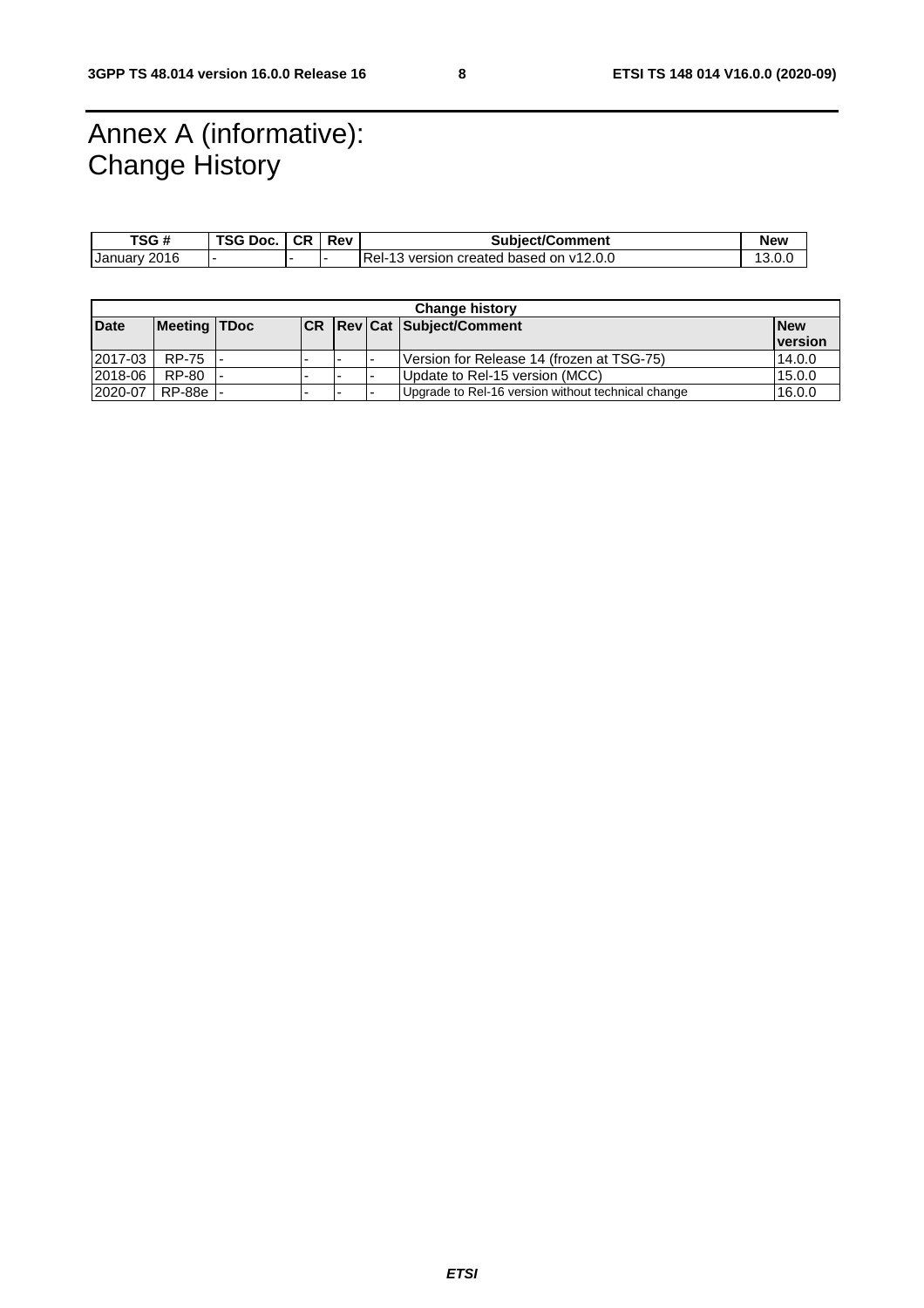### Annex A (informative): Change History

| TSG #        | TSG Doc. | CR | Rev | <b>Subject/Comment</b>                  | New    |
|--------------|----------|----|-----|-----------------------------------------|--------|
| January 2016 |          |    |     | Rel-13 version created based on v12.0.0 | 13.0.L |

| <b>Change history</b> |                     |  |                          |  |  |                                                    |                 |
|-----------------------|---------------------|--|--------------------------|--|--|----------------------------------------------------|-----------------|
| <b>Date</b>           | <b>Meeting TDoc</b> |  |                          |  |  | <b>CR   Rev   Cat   Subject/Comment</b>            | <b>New</b>      |
|                       |                     |  |                          |  |  |                                                    | <u>Iversion</u> |
| 2017-03               | <b>RP-75</b>        |  | $\overline{\phantom{0}}$ |  |  | Version for Release 14 (frozen at TSG-75)          | 14.0.0          |
| 2018-06               | RP-80               |  | -                        |  |  | Update to Rel-15 version (MCC)                     | 15.0.0          |
| 2020-07               | RP-88e              |  |                          |  |  | Upgrade to Rel-16 version without technical change | 16.0.0          |